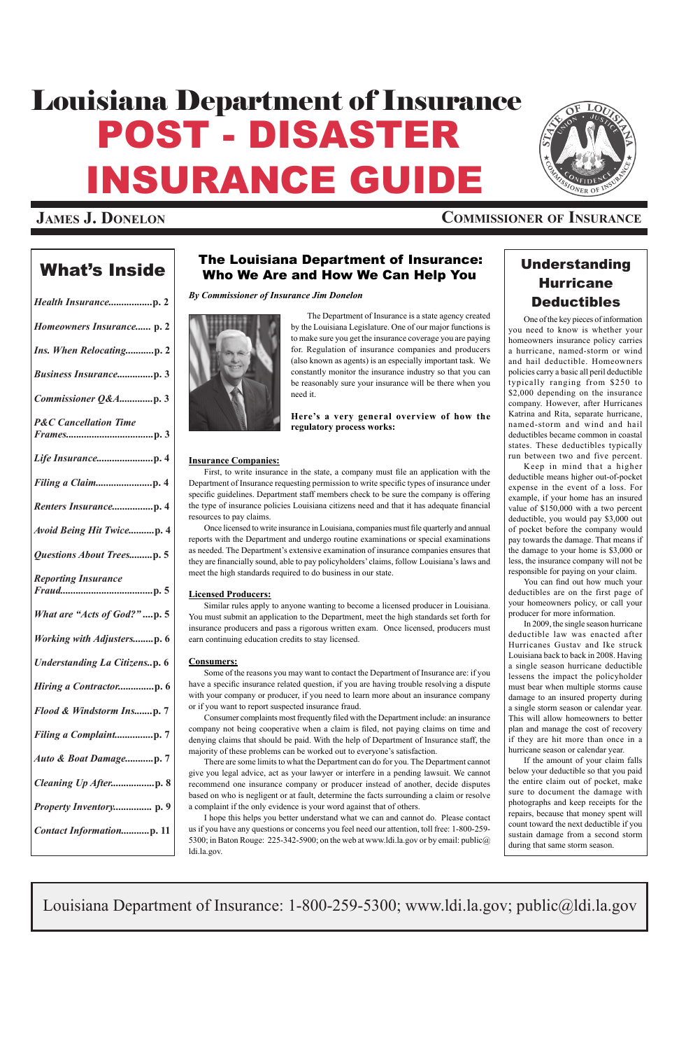## What's  $\left\lfloor \frac{1}{1000} \right\rfloor$  The Louisiana Department of Insurance: Who We Are and How We Can Help You

*By Commissioner of Insurance Jim Donelon*



 The Department of Insurance is a state agency created by the Louisiana Legislature. One of our major functions is to make sure you get the insurance coverage you are paying for. Regulation of insurance companies and producers (also known as agents) is an especially important task. We constantly monitor the insurance industry so that you can be reasonably sure your insurance will be there when you need it.

**Here's a very general overview of how the regulatory process works:** 

## **Insurance Companies:**

 First, to write insurance in the state, a company must file an application with the Department of Insurance requesting permission to write specific types of insurance under specific guidelines. Department staff members check to be sure the company is offering the type of insurance policies Louisiana citizens need and that it has adequate financial resources to pay claims.

 Once licensed to write insurance in Louisiana, companies must file quarterly and annual reports with the Department and undergo routine examinations or special examinations as needed. The Department's extensive examination of insurance companies ensures that they are financially sound, able to pay policyholders' claims, follow Louisiana's laws and meet the high standards required to do business in our state.

## **Licensed Producers:**

Similar rules apply to anyone wanting to become a licensed producer in Louisiana. You must submit an application to the Department, meet the high standards set forth for insurance producers and pass a rigorous written exam. Once licensed, producers must earn continuing education credits to stay licensed.

#### **Consumers:**

Some of the reasons you may want to contact the Department of Insurance are: if you have a specific insurance related question, if you are having trouble resolving a dispute with your company or producer, if you need to learn more about an insurance company or if you want to report suspected insurance fraud.

# POST - DISASTER INSURANCE GUIDE Louisiana Department of Insurance



 Consumer complaints most frequently filed with the Department include: an insurance company not being cooperative when a claim is filed, not paying claims on time and denying claims that should be paid. With the help of Department of Insurance staff, the majority of these problems can be worked out to everyone's satisfaction.

There are some limits to what the Department can do for you. The Department cannot

give you legal advice, act as your lawyer or interfere in a pending lawsuit. We cannot recommend one insurance company or producer instead of another, decide disputes based on who is negligent or at fault, determine the facts surrounding a claim or resolve a complaint if the only evidence is your word against that of others.

I hope this helps you better understand what we can and cannot do. Please contact us if you have any questions or concerns you feel need our attention, toll free: 1-800-259- 5300; in Baton Rouge: 225-342-5900; on the web at www.ldi.la.gov or by email: public@ ldi.la.gov.

| Homeowners Insurance p. 2            |
|--------------------------------------|
| Ins. When Relocatingp. 2             |
|                                      |
| Commissioner Q&Ap. 3                 |
| <b>P&amp;C</b> Cancellation Time     |
|                                      |
|                                      |
|                                      |
| <b>Avoid Being Hit Twicep. 4</b>     |
| <b>Questions About Treesp. 5</b>     |
| <b>Reporting Insurance</b>           |
| What are "Acts of God?"p. 5          |
| <b>Working with Adjustersp. 6</b>    |
| <b>Understanding La Citizensp. 6</b> |
| Hiring a Contractorp. 6              |
| Flood & Windstorm Insp. 7            |
| Filing a Complaintp. 7               |
| Auto & Boat Damagep. 7               |

| Cleaning Up Afterp. 8          |  |
|--------------------------------|--|
| <i>Property Inventory</i> p. 9 |  |
| Contact Informationp. 11       |  |
|                                |  |

Louisiana Department of Insurance: 1-800-259-5300; www.ldi.la.gov; public@ldi.la.gov

## **James J. Donelon Commissioner of Insurance**

## Understanding **Hurricane** Deductibles

One of the key pieces of information you need to know is whether your homeowners insurance policy carries a hurricane, named-storm or wind and hail deductible. Homeowners policies carry a basic all peril deductible typically ranging from \$250 to \$2,000 depending on the insurance company. However, after Hurricanes Katrina and Rita, separate hurricane, named-storm and wind and hail deductibles became common in coastal states. These deductibles typically run between two and five percent.

Keep in mind that a higher deductible means higher out-of-pocket expense in the event of a loss. For example, if your home has an insured value of \$150,000 with a two percent deductible, you would pay \$3,000 out of pocket before the company would pay towards the damage. That means if the damage to your home is \$3,000 or less, the insurance company will not be responsible for paying on your claim.

 You can find out how much your deductibles are on the first page of your homeowners policy, or call your producer for more information.

In 2009, the single season hurricane deductible law was enacted after Hurricanes Gustav and Ike struck Louisiana back to back in 2008. Having a single season hurricane deductible lessens the impact the policyholder must bear when multiple storms cause damage to an insured property during a single storm season or calendar year. This will allow homeowners to better plan and manage the cost of recovery if they are hit more than once in a hurricane season or calendar year.

If the amount of your claim falls below your deductible so that you paid the entire claim out of pocket, make sure to document the damage with photographs and keep receipts for the repairs, because that money spent will count toward the next deductible if you sustain damage from a second storm during that same storm season.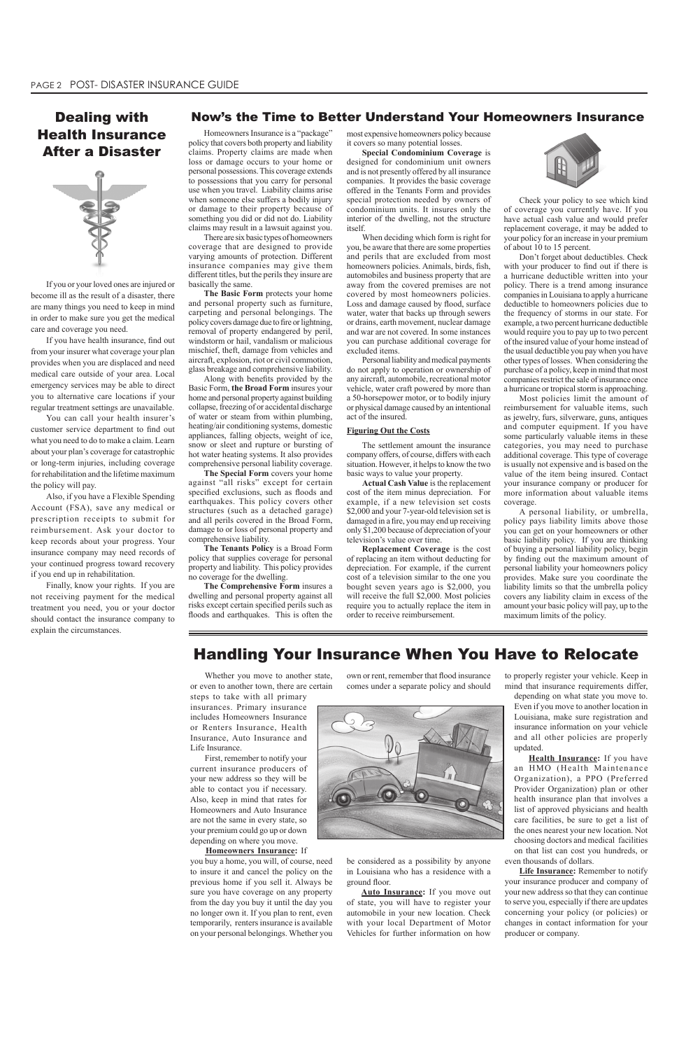## Now's the Time to Better Understand Your Homeowners Insurance

Homeowners Insurance is a "package" policy that covers both property and liability claims. Property claims are made when loss or damage occurs to your home or personal possessions. This coverage extends to possessions that you carry for personal use when you travel. Liability claims arise when someone else suffers a bodily injury or damage to their property because of something you did or did not do. Liability claims may result in a lawsuit against you.

There are six basic types of homeowners coverage that are designed to provide varying amounts of protection. Different insurance companies may give them different titles, but the perils they insure are basically the same.

**The Basic Form** protects your home and personal property such as furniture, carpeting and personal belongings. The policy covers damage due to fire or lightning, removal of property endangered by peril, windstorm or hail, vandalism or malicious mischief, theft, damage from vehicles and aircraft, explosion, riot or civil commotion, glass breakage and comprehensive liability.

 Along with benefits provided by the Basic Form, **the Broad Form** insures your home and personal property against building collapse, freezing of or accidental discharge of water or steam from within plumbing, heating/air conditioning systems, domestic appliances, falling objects, weight of ice, snow or sleet and rupture or bursting of hot water heating systems. It also provides comprehensive personal liability coverage.

**The Special Form** covers your home against "all risks" except for certain specified exclusions, such as floods and earthquakes. This policy covers other structures (such as a detached garage) and all perils covered in the Broad Form, damage to or loss of personal property and comprehensive liability.

**The Tenants Policy** is a Broad Form policy that supplies coverage for personal property and liability. This policy provides no coverage for the dwelling.

**The Comprehensive Form** insures a dwelling and personal property against all risks except certain specified perils such as floods and earthquakes. This is often the most expensive homeowners policy because it covers so many potential losses.

**Special Condominium Coverage** is designed for condominium unit owners and is not presently offered by all insurance companies. It provides the basic coverage offered in the Tenants Form and provides special protection needed by owners of condominium units. It insures only the interior of the dwelling, not the structure itself.

When deciding which form is right for you, be aware that there are some properties and perils that are excluded from most homeowners policies. Animals, birds, fish, automobiles and business property that are away from the covered premises are not covered by most homeowners policies. Loss and damage caused by flood, surface water, water that backs up through sewers or drains, earth movement, nuclear damage and war are not covered. In some instances you can purchase additional coverage for excluded items.

Personal liability and medical payments do not apply to operation or ownership of any aircraft, automobile, recreational motor vehicle, water craft powered by more than a 50-horsepower motor, or to bodily injury or physical damage caused by an intentional act of the insured.

#### **Figuring Out the Costs**

The settlement amount the insurance company offers, of course, differs with each situation. However, it helps to know the two basic ways to value your property.

**Actual Cash Value** is the replacement cost of the item minus depreciation. For example, if a new television set costs \$2,000 and your 7-year-old television set is damaged in a fire, you may end up receiving only \$1,200 because of depreciation of your television's value over time.

**Replacement Coverage** is the cost of replacing an item without deducting for depreciation. For example, if the current cost of a television similar to the one you bought seven years ago is \$2,000, you will receive the full \$2,000. Most policies require you to actually replace the item in order to receive reimbursement.



Check your policy to see which kind of coverage you currently have. If you have actual cash value and would prefer replacement coverage, it may be added to your policy for an increase in your premium of about 10 to 15 percent.

**Health Insurance:** If you have HMO (Health Maintenance

Don't forget about deductibles. Check with your producer to find out if there is a hurricane deductible written into your policy. There is a trend among insurance companies in Louisiana to apply a hurricane deductible to homeowners policies due to the frequency of storms in our state. For example, a two percent hurricane deductible would require you to pay up to two percent of the insured value of your home instead of the usual deductible you pay when you have other types of losses. When considering the purchase of a policy, keep in mind that most companies restrict the sale of insurance once a hurricane or tropical storm is approaching.

Most policies limit the amount of reimbursement for valuable items, such as jewelry, furs, silverware, guns, antiques and computer equipment. If you have some particularly valuable items in these categories, you may need to purchase additional coverage. This type of coverage is usually not expensive and is based on the value of the item being insured. Contact your insurance company or producer for more information about valuable items coverage.

A personal liability, or umbrella, policy pays liability limits above those you can get on your homeowners or other basic liability policy. If you are thinking of buying a personal liability policy, begin by finding out the maximum amount of personal liability your homeowners policy provides. Make sure you coordinate the liability limits so that the umbrella policy covers any liability claim in excess of the amount your basic policy will pay, up to the maximum limits of the policy.

Whether you move to another state, or even to another town, there are certain

steps to take with all primary insurances. Primary insurance includes Homeowners Insurance or Renters Insurance, Health Insurance, Auto Insurance and Life Insurance.

First, remember to notify your current insurance producers of

your new address so they will be able to contact you if necessary. Also, keep in mind that rates for Homeowners and Auto Insurance are not the same in every state, so your premium could go up or down depending on where you move.

#### **Homeowners Insurance:** If

you buy a home, you will, of course, need to insure it and cancel the policy on the previous home if you sell it. Always be sure you have coverage on any property from the day you buy it until the day you no longer own it. If you plan to rent, even temporarily, renters insurance is available on your personal belongings. Whether you

## Handling Your Insurance When You Have to Relocate

If you or your loved ones are injured or become ill as the result of a disaster, there are many things you need to keep in mind in order to make sure you get the medical care and coverage you need.

 If you have health insurance, find out from your insurer what coverage your plan provides when you are displaced and need medical care outside of your area. Local emergency services may be able to direct you to alternative care locations if your regular treatment settings are unavailable.

You can call your health insurer's customer service department to find out what you need to do to make a claim. Learn about your plan's coverage for catastrophic or long-term injuries, including coverage for rehabilitation and the lifetime maximum the policy will pay.

Also, if you have a Flexible Spending Account (FSA), save any medical or prescription receipts to submit for reimbursement. Ask your doctor to keep records about your progress. Your insurance company may need records of your continued progress toward recovery if you end up in rehabilitation.

Finally, know your rights. If you are not receiving payment for the medical treatment you need, you or your doctor should contact the insurance company to explain the circumstances.

## Dealing with Health Insurance After a Disaster



own or rent, remember that flood insurance comes under a separate policy and should



be considered as a possibility by anyone in Louisiana who has a residence with a ground floor.

**Auto Insurance:** If you move out of state, you will have to register your automobile in your new location. Check with your local Department of Motor Vehicles for further information on how to properly register your vehicle. Keep in mind that insurance requirements differ,

depending on what state you move to. Even if you move to another location in Louisiana, make sure registration and insurance information on your vehicle and all other policies are properly updated.

Organization), a PPO (Preferred Provider Organization) plan or other health insurance plan that involves a list of approved physicians and health care facilities, be sure to get a list of the ones nearest your new location. Not choosing doctors and medical facilities on that list can cost you hundreds, or even thousands of dollars.

**Life Insurance:** Remember to notify your insurance producer and company of your new address so that they can continue to serve you, especially if there are updates concerning your policy (or policies) or changes in contact information for your producer or company.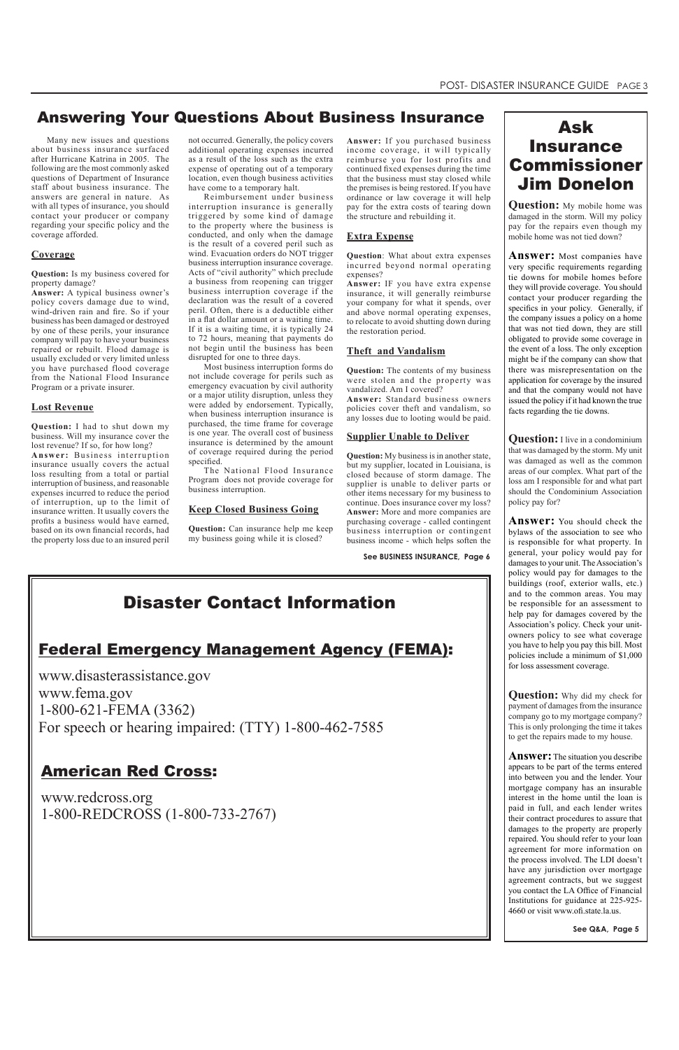Many new issues and questions about business insurance surfaced after Hurricane Katrina in 2005. The following are the most commonly asked questions of Department of Insurance staff about business insurance. The answers are general in nature. As with all types of insurance, you should contact your producer or company regarding your specific policy and the coverage afforded.

## **Coverage**

**Question:** Is my business covered for property damage?

**Answer:** A typical business owner's policy covers damage due to wind, wind-driven rain and fire. So if your business has been damaged or destroyed by one of these perils, your insurance company will pay to have your business repaired or rebuilt. Flood damage is usually excluded or very limited unless you have purchased flood coverage from the National Flood Insurance Program or a private insurer.

#### **Lost Revenue**

**Question:** I had to shut down my business. Will my insurance cover the lost revenue? If so, for how long?

**Answer:** Business interruption insurance usually covers the actual loss resulting from a total or partial interruption of business, and reasonable expenses incurred to reduce the period of interruption, up to the limit of insurance written. It usually covers the profits a business would have earned, based on its own financial records, had the property loss due to an insured peril

not occurred. Generally, the policy covers additional operating expenses incurred as a result of the loss such as the extra expense of operating out of a temporary location, even though business activities have come to a temporary halt.

Reimbursement under business interruption insurance is generally triggered by some kind of damage to the property where the business is conducted, and only when the damage is the result of a covered peril such as wind. Evacuation orders do NOT trigger business interruption insurance coverage. Acts of "civil authority" which preclude a business from reopening can trigger business interruption coverage if the declaration was the result of a covered peril. Often, there is a deductible either in a flat dollar amount or a waiting time. If it is a waiting time, it is typically 24 to 72 hours, meaning that payments do not begin until the business has been disrupted for one to three days.

Most business interruption forms do not include coverage for perils such as emergency evacuation by civil authority or a major utility disruption, unless they were added by endorsement. Typically, when business interruption insurance is purchased, the time frame for coverage is one year. The overall cost of business insurance is determined by the amount of coverage required during the period specified.

The National Flood Insurance Program does not provide coverage for business interruption.

#### **Keep Closed Business Going**

**Question:** Can insurance help me keep my business going while it is closed?

**Answer:** If you purchased business income coverage, it will typically reimburse you for lost profits and continued fixed expenses during the time that the business must stay closed while the premises is being restored. If you have ordinance or law coverage it will help pay for the extra costs of tearing down the structure and rebuilding it.

### **Extra Expense**

**Question**: What about extra expenses incurred beyond normal operating expenses?

**Answer:** IF you have extra expense insurance, it will generally reimburse your company for what it spends, over and above normal operating expenses, to relocate to avoid shutting down during the restoration period.

### **Theft and Vandalism**

**Question:** The contents of my business were stolen and the property was vandalized. Am I covered?

**Answer:** Standard business owners policies cover theft and vandalism, so any losses due to looting would be paid.

#### **Supplier Unable to Deliver**

**Question:** My business is in another state, but my supplier, located in Louisiana, is closed because of storm damage. The supplier is unable to deliver parts or other items necessary for my business to continue. Does insurance cover my loss? **Answer:** More and more companies are purchasing coverage - called contingent business interruption or contingent business income - which helps soften the

## Answering Your Questions About Business Insurance

**See BUSINESS INSURANCE, Page 6**

## Ask **Insurance** Commissioner Jim Donelon

**Question:** My mobile home was damaged in the storm. Will my policy pay for the repairs even though my mobile home was not tied down?

**Answer:** Most companies have very specific requirements regarding tie downs for mobile homes before they will provide coverage. You should contact your producer regarding the specifics in your policy. Generally, if the company issues a policy on a home that was not tied down, they are still obligated to provide some coverage in the event of a loss. The only exception might be if the company can show that there was misrepresentation on the application for coverage by the insured and that the company would not have issued the policy if it had known the true facts regarding the tie downs.

**Question:** I live in a condominium that was damaged by the storm. My unit was damaged as well as the common areas of our complex. What part of the loss am I responsible for and what part should the Condominium Association policy pay for?

**Answer:** You should check the bylaws of the association to see who is responsible for what property. In general, your policy would pay for damages to your unit. The Association's policy would pay for damages to the buildings (roof, exterior walls, etc.) and to the common areas. You may be responsible for an assessment to help pay for damages covered by the Association's policy. Check your unitowners policy to see what coverage you have to help you pay this bill. Most policies include a minimum of \$1,000 for loss assessment coverage.

**Question:** Why did my check for payment of damages from the insurance company go to my mortgage company? This is only prolonging the time it takes to get the repairs made to my house.

**Answer:** The situation you describe appears to be part of the terms entered

into between you and the lender. Your mortgage company has an insurable interest in the home until the loan is paid in full, and each lender writes their contract procedures to assure that damages to the property are properly repaired. You should refer to your loan agreement for more information on the process involved. The LDI doesn't have any jurisdiction over mortgage agreement contracts, but we suggest you contact the LA Office of Financial Institutions for guidance at 225-925- 4660 or visit www.ofi.state.la.us.

 **See Q&A, Page 5**

## Disaster Contact Information

## Federal Emergency Management Agency (FEMA):

www.disasterassistance.gov www.fema.gov 1-800-621-FEMA (3362) For speech or hearing impaired: (TTY) 1-800-462-7585

## American Red Cross:

www.redcross.org 1-800-REDCROSS (1-800-733-2767)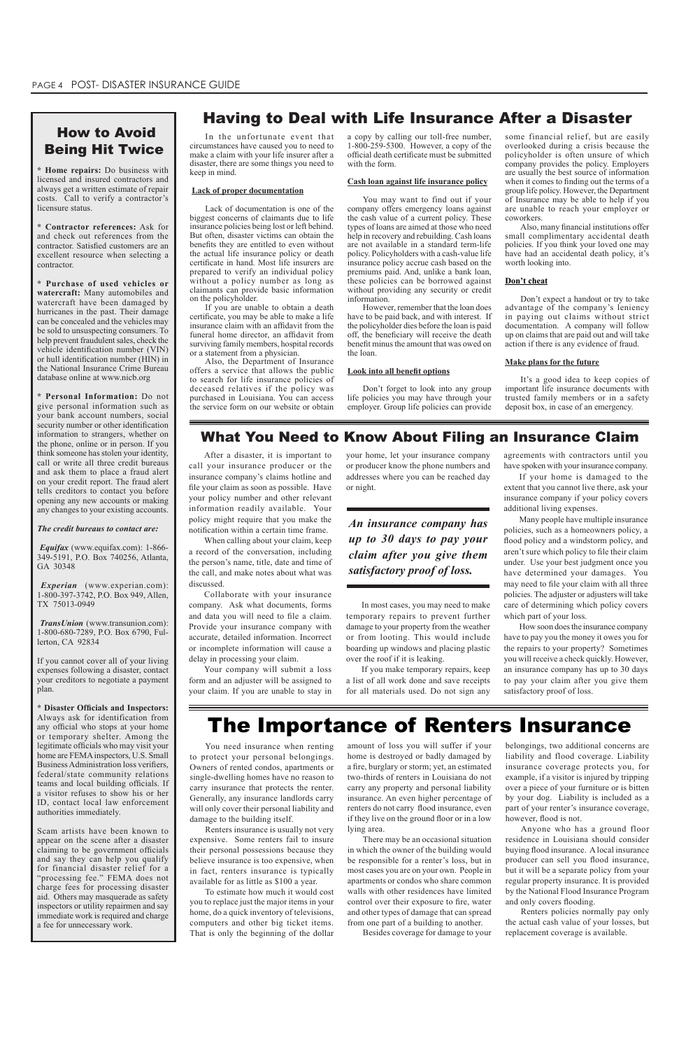**\* Home repairs:** Do business with licensed and insured contractors and always get a written estimate of repair costs. Call to verify a contractor's licensure status.

**\* Contractor references:** Ask for and check out references from the contractor. Satisfied customers are an excellent resource when selecting a contractor.

**\* Purchase of used vehicles or watercraft:** Many automobiles and watercraft have been damaged by hurricanes in the past. Their damage can be concealed and the vehicles may be sold to unsuspecting consumers. To help prevent fraudulent sales, check the vehicle identification number (VIN) or hull identification number (HIN) in the National Insurance Crime Bureau database online at www.nicb.org

**\* Personal Information:** Do not give personal information such as your bank account numbers, social security number or other identification information to strangers, whether on the phone, online or in person. If you think someone has stolen your identity, call or write all three credit bureaus and ask them to place a fraud alert on your credit report. The fraud alert tells creditors to contact you before opening any new accounts or making any changes to your existing accounts.

#### *The credit bureaus to contact are:*

*Equifax* (www.equifax.com): 1-866- 349-5191, P.O. Box 740256, Atlanta, GA 30348

*Experian* (www.experian.com): 1-800-397-3742, P.O. Box 949, Allen, TX 75013-0949

*TransUnion* (www.transunion.com): 1-800-680-7289, P.O. Box 6790, Fullerton, CA 92834

If you cannot cover all of your living expenses following a disaster, contact your creditors to negotiate a payment plan.

**\* Disaster Officials and Inspectors:**  Always ask for identification from any official who stops at your home or temporary shelter. Among the legitimate officials who may visit your home are FEMA inspectors, U.S. Small BusinessAdministration loss verifiers, federal/state community relations teams and local building officials. If a visitor refuses to show his or her ID, contact local law enforcement authorities immediately.

Scam artists have been known to appear on the scene after a disaster claiming to be government officials and say they can help you qualify for financial disaster relief for a "processing fee." FEMA does not charge fees for processing disaster aid. Others may masquerade as safety inspectors or utility repairmen and say immediate work is required and charge a fee for unnecessary work.

You need insurance when renting to protect your personal belongings. Owners of rented condos, apartments or single-dwelling homes have no reason to carry insurance that protects the renter. Generally, any insurance landlords carry will only cover their personal liability and damage to the building itself.

Renters insurance is usually not very expensive. Some renters fail to insure their personal possessions because they believe insurance is too expensive, when in fact, renters insurance is typically available for as little as \$100 a year.

To estimate how much it would cost you to replace just the major items in your home, do a quick inventory of televisions, computers and other big ticket items. That is only the beginning of the dollar

amount of loss you will suffer if your home is destroyed or badly damaged by a fire, burglary or storm; yet, an estimated

two-thirds of renters in Louisiana do not carry any property and personal liability insurance. An even higher percentage of renters do not carry flood insurance, even if they live on the ground floor or in a low lying area.

There may be an occasional situation in which the owner of the building would be responsible for a renter's loss, but in most cases you are on your own. People in apartments or condos who share common walls with other residences have limited control over their exposure to fire, water and other types of damage that can spread from one part of a building to another.

Besides coverage for damage to your

belongings, two additional concerns are liability and flood coverage. Liability insurance coverage protects you, for example, if a visitor is injured by tripping over a piece of your furniture or is bitten by your dog. Liability is included as a part of your renter's insurance coverage, however, flood is not. Anyone who has a ground floor residence in Louisiana should consider buying flood insurance. A local insurance producer can sell you flood insurance, but it will be a separate policy from your regular property insurance. It is provided by the National Flood Insurance Program and only covers flooding.

Renters policies normally pay only the actual cash value of your losses, but replacement coverage is available.

## The Importance of Renters Insurance

## How to Avoid Being Hit Twice

## Having to Deal with Life Insurance After a Disaster

In the unfortunate event that circumstances have caused you to need to make a claim with your life insurer after a disaster, there are some things you need to keep in mind.

#### **Lack of proper documentation**

Lack of documentation is one of the biggest concerns of claimants due to life insurance policies being lost or left behind. But often, disaster victims can obtain the benefits they are entitled to even without the actual life insurance policy or death certificate in hand. Most life insurers are prepared to verify an individual policy without a policy number as long as claimants can provide basic information on the policyholder.

If you are unable to obtain a death certificate, you may be able to make a life insurance claim with an affidavit from the funeral home director, an affidavit from surviving family members, hospital records or a statement from a physician.

Also, the Department of Insurance offers a service that allows the public to search for life insurance policies of deceased relatives if the policy was purchased in Louisiana. You can access the service form on our website or obtain

a copy by calling our toll-free number, 1-800-259-5300. However, a copy of the official death certificate must be submitted with the form.

#### **Cash loan against life insurance policy**

You may want to find out if your company offers emergency loans against the cash value of a current policy. These types of loans are aimed at those who need help in recovery and rebuilding. Cash loans are not available in a standard term-life policy. Policyholders with a cash-value life insurance policy accrue cash based on the premiums paid. And, unlike a bank loan, these policies can be borrowed against without providing any security or credit information.

However, remember that the loan does have to be paid back, and with interest. If the policyholder dies before the loan is paid off, the beneficiary will receive the death benefit minus the amount that was owed on the loan.

#### **Look into all benefit options**

Don't forget to look into any group life policies you may have through your employer. Group life policies can provide

## What You Need to Know About Filing an Insurance Claim

some financial relief, but are easily overlooked during a crisis because the policyholder is often unsure of which company provides the policy. Employers are usually the best source of information when it comes to finding out the terms of a group life policy. However, the Department of Insurance may be able to help if you are unable to reach your employer or coworkers.

 Also, many financial institutions offer small complimentary accidental death policies. If you think your loved one may have had an accidental death policy, it's worth looking into.

#### **Don't cheat**

Don't expect a handout or try to take advantage of the company's leniency in paying out claims without strict documentation. A company will follow up on claims that are paid out and will take action if there is any evidence of fraud.

#### **Make plans for the future**

It's a good idea to keep copies of important life insurance documents with trusted family members or in a safety deposit box, in case of an emergency.

*An insurance company has up to 30 days to pay your claim after you give them satisfactory proof of loss.*

After a disaster, it is important to call your insurance producer or the insurance company's claims hotline and file your claim as soon as possible. Have your policy number and other relevant information readily available. Your policy might require that you make the notification within a certain time frame.

When calling about your claim, keep a record of the conversation, including the person's name, title, date and time of the call, and make notes about what was discussed.

Collaborate with your insurance company. Ask what documents, forms and data you will need to file a claim. Provide your insurance company with accurate, detailed information. Incorrect or incomplete information will cause a delay in processing your claim.

Your company will submit a loss form and an adjuster will be assigned to your claim. If you are unable to stay in

your home, let your insurance company or producer know the phone numbers and addresses where you can be reached day or night.

In most cases, you may need to make temporary repairs to prevent further damage to your property from the weather or from looting. This would include boarding up windows and placing plastic over the roof if it is leaking.

If you make temporary repairs, keep a list of all work done and save receipts for all materials used. Do not sign any

agreements with contractors until you have spoken with your insurance company.

If your home is damaged to the extent that you cannot live there, ask your insurance company if your policy covers additional living expenses.

Many people have multiple insurance policies, such as a homeowners policy, a flood policy and a windstorm policy, and aren't sure which policy to file their claim under. Use your best judgment once you have determined your damages. You may need to file your claim with all three policies. The adjuster or adjusters will take care of determining which policy covers which part of your loss.

How soon does the insurance company have to pay you the money it owes you for the repairs to your property? Sometimes you will receive a check quickly. However, an insurance company has up to 30 days to pay your claim after you give them satisfactory proof of loss.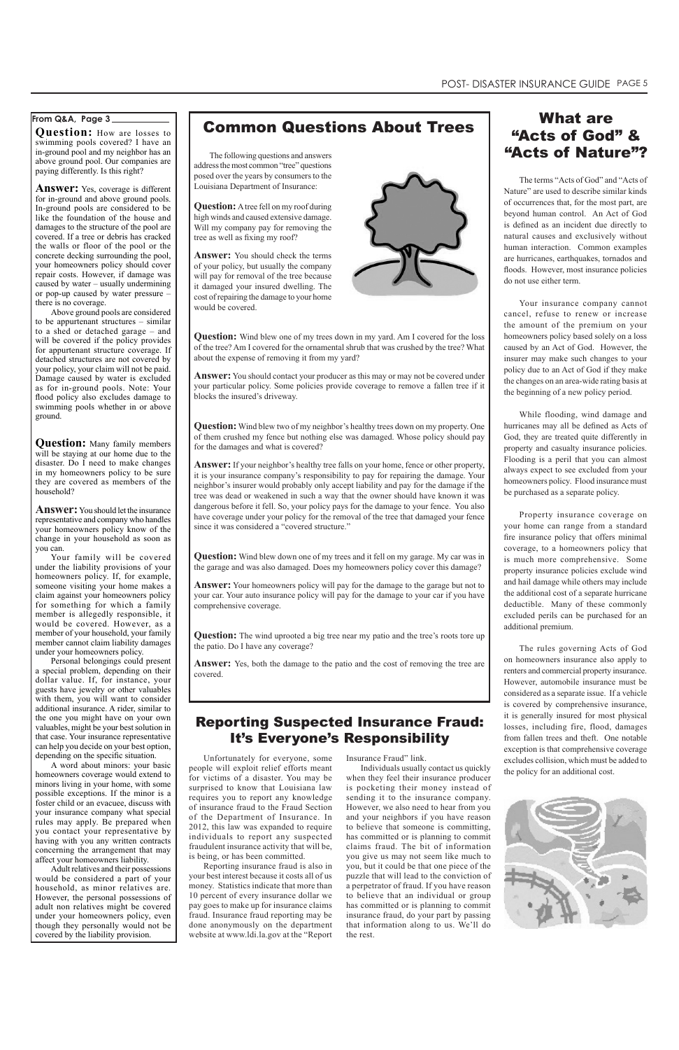**Question:** How are losses to swimming pools covered? I have an in-ground pool and my neighbor has an above ground pool. Our companies are paying differently. Is this right?

Answer: Yes, coverage is different for in-ground and above ground pools. In-ground pools are considered to be like the foundation of the house and damages to the structure of the pool are covered. If a tree or debris has cracked the walls or floor of the pool or the concrete decking surrounding the pool, your homeowners policy should cover repair costs. However, if damage was caused by water – usually undermining or pop-up caused by water pressure – there is no coverage.

Above ground pools are considered to be appurtenant structures – similar to a shed or detached garage – and will be covered if the policy provides for appurtenant structure coverage. If detached structures are not covered by your policy, your claim will not be paid. Damage caused by water is excluded as for in-ground pools. Note: Your flood policy also excludes damage to swimming pools whether in or above ground.

**Question:** Many family members will be staying at our home due to the disaster. Do I need to make changes in my homeowners policy to be sure they are covered as members of the household?

**Answer:** You should let the insurance representative and company who handles your homeowners policy know of the change in your household as soon as you can.

Your family will be covered under the liability provisions of your homeowners policy. If, for example, someone visiting your home makes a claim against your homeowners policy for something for which a family member is allegedly responsible, it would be covered. However, as a member of your household, your family member cannot claim liability damages under your homeowners policy.

Personal belongings could present a special problem, depending on their dollar value. If, for instance, your guests have jewelry or other valuables with them, you will want to consider additional insurance. A rider, similar to the one you might have on your own valuables, might be your best solution in that case. Your insurance representative can help you decide on your best option, depending on the specific situation.

## What are "Acts of God" & The following questions and answers **"Acts of Nature"?**

A word about minors: your basic homeowners coverage would extend to minors living in your home, with some possible exceptions. If the minor is a foster child or an evacuee, discuss with your insurance company what special rules may apply. Be prepared when you contact your representative by having with you any written contracts concerning the arrangement that may affect your homeowners liability. Adult relatives and their possessions would be considered a part of your household, as minor relatives are. However, the personal possessions of adult non relatives might be covered under your homeowners policy, even though they personally would not be covered by the liability provision.

**Question:** A tree fell on my roof during high winds and caused extensive damage. Will my company pay for removing the tree as well as fixing my roof?

**Question:** Wind blew one of my trees down in my yard. Am I covered for the loss of the tree? Am I covered for the ornamental shrub that was crushed by the tree? What about the expense of removing it from my yard?

## **From Q&A, Page 3**

The terms "Acts of God" and "Acts of Nature" are used to describe similar kinds of occurrences that, for the most part, are beyond human control. An Act of God is defined as an incident due directly to natural causes and exclusively without human interaction. Common examples are hurricanes, earthquakes, tornados and floods. However, most insurance policies do not use either term.

**Question:** Wind blew down one of my trees and it fell on my garage. My car was in the garage and was also damaged. Does my homeowners policy cover this damage?

Your insurance company cannot cancel, refuse to renew or increase the amount of the premium on your homeowners policy based solely on a loss caused by an Act of God. However, the insurer may make such changes to your policy due to an Act of God if they make the changes on an area-wide rating basis at the beginning of a new policy period.

While flooding, wind damage and hurricanes may all be defined as Acts of God, they are treated quite differently in property and casualty insurance policies. Flooding is a peril that you can almost always expect to see excluded from your homeowners policy. Flood insurance must be purchased as a separate policy.

Property insurance coverage on your home can range from a standard fire insurance policy that offers minimal coverage, to a homeowners policy that is much more comprehensive. Some property insurance policies exclude wind and hail damage while others may include the additional cost of a separate hurricane deductible. Many of these commonly excluded perils can be purchased for an additional premium.

The rules governing Acts of God on homeowners insurance also apply to renters and commercial property insurance. However, automobile insurance must be considered as a separate issue. If a vehicle is covered by comprehensive insurance, it is generally insured for most physical losses, including fire, flood, damages from fallen trees and theft. One notable exception is that comprehensive coverage excludes collision, which must be added to the policy for an additional cost.

address the most common "tree" questions posed over the years by consumers to the Louisiana Department of Insurance:

**Answer:** You should check the terms of your policy, but usually the company will pay for removal of the tree because it damaged your insured dwelling. The cost of repairing the damage to your home would be covered.



**Answer:** You should contact your producer as this may or may not be covered under your particular policy. Some policies provide coverage to remove a fallen tree if it blocks the insured's driveway.

**Question:** Wind blew two of my neighbor's healthy trees down on my property. One of them crushed my fence but nothing else was damaged. Whose policy should pay for the damages and what is covered?

**Answer:** If your neighbor's healthy tree falls on your home, fence or other property, it is your insurance company's responsibility to pay for repairing the damage. Your neighbor's insurer would probably only accept liability and pay for the damage if the tree was dead or weakened in such a way that the owner should have known it was dangerous before it fell. So, your policy pays for the damage to your fence. You also have coverage under your policy for the removal of the tree that damaged your fence since it was considered a "covered structure."

**Answer:** Your homeowners policy will pay for the damage to the garage but not to your car. Your auto insurance policy will pay for the damage to your car if you have comprehensive coverage.

**Question:** The wind uprooted a big tree near my patio and the tree's roots tore up the patio. Do I have any coverage?

**Answer:** Yes, both the damage to the patio and the cost of removing the tree are covered.

for victims of a disaster. You may be surprised to know that Louisiana law requires you to report any knowledge of insurance fraud to the Fraud Section of the Department of Insurance. In 2012, this law was expanded to require individuals to report any suspected fraudulent insurance activity that will be, is being, or has been committed.

Unfortunately for everyone, some Insurance Fraud" link.

people will exploit relief efforts meant Individuals usually contact us quickly

Reporting insurance fraud is also in your best interest because it costs all of us money. Statistics indicate that more than 10 percent of every insurance dollar we pay goes to make up for insurance claims fraud. Insurance fraud reporting may be done anonymously on the department website at www.ldi.la.gov at the "Report

## Reporting Suspected Insurance Fraud: It's Everyone's Responsibility

when they feel their insurance producer is pocketing their money instead of sending it to the insurance company. However, we also need to hear from you and your neighbors if you have reason to believe that someone is committing, has committed or is planning to commit claims fraud. The bit of information you give us may not seem like much to you, but it could be that one piece of the puzzle that will lead to the conviction of a perpetrator of fraud. If you have reason to believe that an individual or group has committed or is planning to commit insurance fraud, do your part by passing that information along to us. We'll do the rest.



## Common Questions About Trees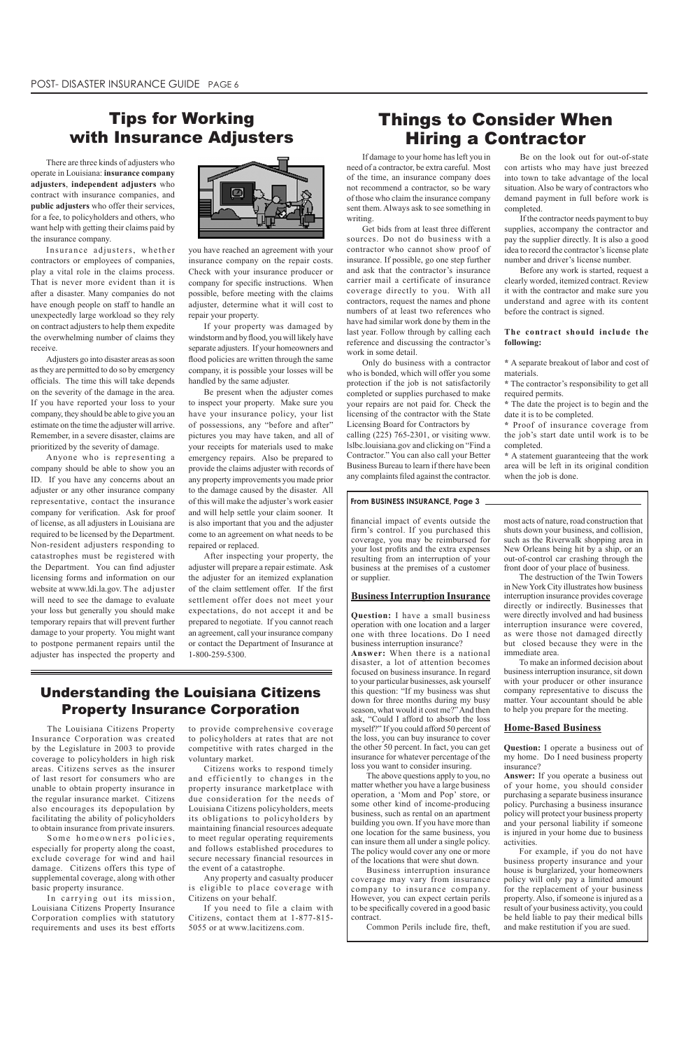## Understanding the Louisiana Citizens Property Insurance Corporation

The Louisiana Citizens Property Insurance Corporation was created by the Legislature in 2003 to provide coverage to policyholders in high risk areas. Citizens serves as the insurer

Some homeowners policies, especially for property along the coast, exclude coverage for wind and hail damage. Citizens offers this type of supplemental coverage, along with other basic property insurance.

of last resort for consumers who are unable to obtain property insurance in the regular insurance market. Citizens also encourages its depopulation by facilitating the ability of policyholders to obtain insurance from private insurers.

In carrying out its mission, Louisiana Citizens Property Insurance Corporation complies with statutory requirements and uses its best efforts to provide comprehensive coverage to policyholders at rates that are not competitive with rates charged in the voluntary market.

Citizens works to respond timely

and efficiently to changes in the property insurance marketplace with due consideration for the needs of Louisiana Citizens policyholders, meets its obligations to policyholders by maintaining financial resources adequate to meet regular operating requirements and follows established procedures to secure necessary financial resources in the event of a catastrophe.

Any property and casualty producer is eligible to place coverage with Citizens on your behalf.

If you need to file a claim with Citizens, contact them at 1-877-815- 5055 or at www.lacitizens.com.

There are three kinds of adjusters who operate in Louisiana: **insurance company adjusters**, **independent adjusters** who contract with insurance companies, and **public adjusters** who offer their services, for a fee, to policyholders and others, who want help with getting their claims paid by the insurance company.

Insurance adjusters, whether contractors or employees of companies, play a vital role in the claims process. That is never more evident than it is after a disaster. Many companies do not have enough people on staff to handle an unexpectedly large workload so they rely on contract adjusters to help them expedite the overwhelming number of claims they receive.

Adjusters go into disaster areas as soon as they are permitted to do so by emergency officials. The time this will take depends on the severity of the damage in the area. If you have reported your loss to your company, they should be able to give you an estimate on the time the adjuster will arrive. Remember, in a severe disaster, claims are prioritized by the severity of damage.

> **\*** A statement guaranteeing that the work area will be left in its original condition when the job is done.

Anyone who is representing a company should be able to show you an ID. If you have any concerns about an adjuster or any other insurance company representative, contact the insurance company for verification. Ask for proof of license, as all adjusters in Louisiana are required to be licensed by the Department. Non-resident adjusters responding to catastrophes must be registered with the Department. You can find adjuster licensing forms and information on our website at www.ldi.la.gov. The adjuster will need to see the damage to evaluate your loss but generally you should make temporary repairs that will prevent further damage to your property. You might want to postpone permanent repairs until the adjuster has inspected the property and



## Tips for Working with Insurance Adjusters

If damage to your home has left you in need of a contractor, be extra careful. Most of the time, an insurance company does not recommend a contractor, so be wary of those who claim the insurance company sent them. Always ask to see something in writing.

Get bids from at least three different sources. Do not do business with a contractor who cannot show proof of insurance. If possible, go one step further and ask that the contractor's insurance carrier mail a certificate of insurance coverage directly to you. With all contractors, request the names and phone numbers of at least two references who have had similar work done by them in the last year. Follow through by calling each reference and discussing the contractor's work in some detail.

Only do business with a contractor who is bonded, which will offer you some protection if the job is not satisfactorily completed or supplies purchased to make your repairs are not paid for. Check the licensing of the contractor with the State Licensing Board for Contractors by

calling (225) 765-2301, or visiting www. lslbc.louisiana.gov and clicking on "Find a Contractor." You can also call your Better Business Bureau to learn if there have been any complaints filed against the contractor.

Be on the look out for out-of-state con artists who may have just breezed into town to take advantage of the local situation. Also be wary of contractors who demand payment in full before work is completed.

If the contractor needs payment to buy supplies, accompany the contractor and pay the supplier directly. It is also a good idea to record the contractor's license plate number and driver's license number.

Before any work is started, request a clearly worded, itemized contract. Review it with the contractor and make sure you understand and agree with its content before the contract is signed.

#### **The contract should include the following:**

**\*** A separate breakout of labor and cost of materials.

**\*** The contractor's responsibility to get all required permits.

**\*** The date the project is to begin and the date it is to be completed.

**\*** Proof of insurance coverage from the job's start date until work is to be completed.

## Things to Consider When Hiring a Contractor

financial impact of events outside the firm's control. If you purchased this coverage, you may be reimbursed for your lost profits and the extra expenses resulting from an interruption of your business at the premises of a customer or supplier.

#### **Business Interruption Insurance**

**Question:** I have a small business operation with one location and a larger one with three locations. Do I need business interruption insurance?

**Answer:** When there is a national disaster, a lot of attention becomes focused on business insurance. In regard to your particular businesses, ask yourself this question: "If my business was shut down for three months during my busy season, what would it cost me?" And then ask, "Could I afford to absorb the loss myself?" If you could afford 50 percent of the loss, you can buy insurance to cover the other 50 percent. In fact, you can get insurance for whatever percentage of the loss you want to consider insuring. The above questions apply to you, no matter whether you have a large business operation, a 'Mom and Pop' store, or some other kind of income-producing business, such as rental on an apartment building you own. If you have more than one location for the same business, you can insure them all under a single policy. The policy would cover any one or more of the locations that were shut down. Business interruption insurance coverage may vary from insurance company to insurance company. However, you can expect certain perils to be specifically covered in a good basic contract.

 Common Perils include fire, theft,

most acts of nature, road construction that shuts down your business, and collision, such as the Riverwalk shopping area in New Orleans being hit by a ship, or an out-of-control car crashing through the front door of your place of business.

The destruction of the Twin Towers in New York City illustrates how business interruption insurance provides coverage directly or indirectly. Businesses that were directly involved and had business interruption insurance were covered, as were those not damaged directly but closed because they were in the immediate area.

To make an informed decision about business interruption insurance, sit down with your producer or other insurance company representative to discuss the matter. Your accountant should be able to help you prepare for the meeting.

## **Home-Based Business**

**Question:** I operate a business out of my home. Do I need business property insurance?

**Answer:** If you operate a business out of your home, you should consider purchasing a separate business insurance policy. Purchasing a business insurance policy will protect your business property and your personal liability if someone is injured in your home due to business activities.

For example, if you do not have business property insurance and your house is burglarized, your homeowners policy will only pay a limited amount for the replacement of your business property. Also, if someone is injured as a result of your business activity, you could be held liable to pay their medical bills and make restitution if you are sued.

#### **From BUSINESS INSURANCE, Page 3**

you have reached an agreement with your insurance company on the repair costs. Check with your insurance producer or company for specific instructions. When possible, before meeting with the claims adjuster, determine what it will cost to repair your property.

If your property was damaged by windstormand by flood, you will likely have separate adjusters. If your homeowners and flood policies are written through the same company, it is possible your losses will be handled by the same adjuster.

Be present when the adjuster comes to inspect your property. Make sure you have your insurance policy, your list of possessions, any "before and after" pictures you may have taken, and all of your receipts for materials used to make emergency repairs. Also be prepared to provide the claims adjuster with records of any property improvements you made prior to the damage caused by the disaster. All of this will make the adjuster's work easier and will help settle your claim sooner. It is also important that you and the adjuster come to an agreement on what needs to be repaired or replaced.

After inspecting your property, the adjuster will prepare a repair estimate. Ask the adjuster for an itemized explanation of the claim settlement offer. If the first settlement offer does not meet your expectations, do not accept it and be prepared to negotiate. If you cannot reach an agreement, call your insurance company or contact the Department of Insurance at 1-800-259-5300.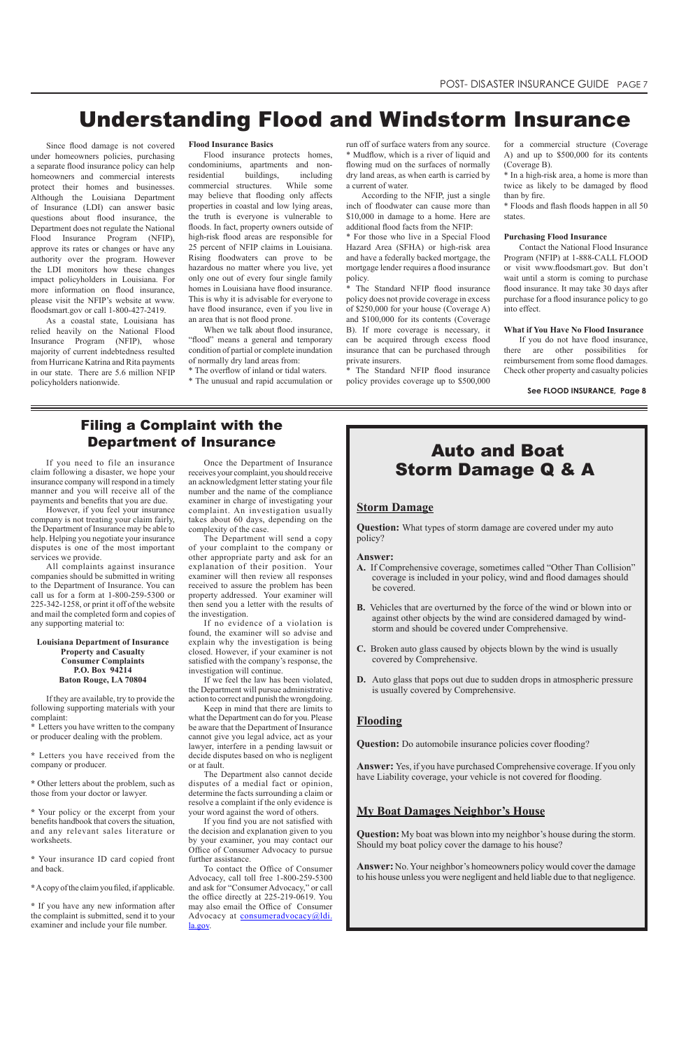## **Storm Damage**

**Question:** What types of storm damage are covered under my auto policy?

#### **Answer:**

- **A.** If Comprehensive coverage, sometimes called "Other Than Collision" coverage is included in your policy, wind and flood damages should be covered.
- **B.** Vehicles that are overturned by the force of the wind or blown into or against other objects by the wind are considered damaged by windstorm and should be covered under Comprehensive.
- **C.** Broken auto glass caused by objects blown by the wind is usually covered by Comprehensive.
- **D.** Auto glass that pops out due to sudden drops in atmospheric pressure is usually covered by Comprehensive.

## **Flooding**

**Question:** Do automobile insurance policies cover flooding?

**Answer:** Yes, if you have purchased Comprehensive coverage. If you only

have Liability coverage, your vehicle is not covered for flooding.

## **My Boat Damages Neighbor's House**

**Question:** My boat was blown into my neighbor's house during the storm. Should my boat policy cover the damage to his house?

**Answer:** No. Your neighbor's homeowners policy would cover the damage to his house unless you were negligent and held liable due to that negligence.

If you need to file an insurance claim following a disaster, we hope your insurance company will respond in a timely manner and you will receive all of the payments and benefits that you are due.

However, if you feel your insurance company is not treating your claim fairly, the Department of Insurance may be able to help. Helping you negotiate your insurance disputes is one of the most important services we provide.

All complaints against insurance companies should be submitted in writing to the Department of Insurance. You can call us for a form at 1-800-259-5300 or 225-342-1258, or print it off of the website and mail the completed form and copies of any supporting material to:

#### **Louisiana Department of Insurance Property and Casualty Consumer Complaints P.O. Box 94214 Baton Rouge, LA 70804**

If they are available, try to provide the following supporting materials with your complaint:

**\*** Letters you have written to the company or producer dealing with the problem.

**\*** Letters you have received from the company or producer.

**\*** Other letters about the problem, such as those from your doctor or lawyer.

**\*** Your policy or the excerpt from your benefits handbook that covers the situation, and any relevant sales literature or worksheets.

**\*** Your insurance ID card copied front and back.

**\***Acopy ofthe claimyou filed, if applicable.

**\*** If you have any new information after the complaint is submitted, send it to your examiner and include your file number.

## Filing a Complaint with the Department of Insurance

Once the Department of Insurance receives your complaint, you should receive an acknowledgment letter stating your file number and the name of the compliance examiner in charge of investigating your complaint. An investigation usually takes about 60 days, depending on the complexity of the case.

The Department will send a copy of your complaint to the company or other appropriate party and ask for an explanation of their position. Your examiner will then review all responses received to assure the problem has been property addressed. Your examiner will then send you a letter with the results of the investigation.

If no evidence of a violation is found, the examiner will so advise and explain why the investigation is being closed. However, if your examiner is not satisfied with the company's response, the investigation will continue.

When we talk about flood insurance, "flood" means a general and temporary condition of partial or complete inundation of normally dry land areas from:

If we feel the law has been violated, the Department will pursue administrative action to correct and punish the wrongdoing.

Keep in mind that there are limits to what the Department can do for you. Please be aware that the Department of Insurance cannot give you legal advice, act as your lawyer, interfere in a pending lawsuit or decide disputes based on who is negligent or at fault.

The Department also cannot decide disputes of a medial fact or opinion, determine the facts surrounding a claim or resolve a complaint if the only evidence is your word against the word of others. If you find you are not satisfied with the decision and explanation given to you by your examiner, you may contact our Office of Consumer Advocacy to pursue further assistance. To contact the Office of Consumer Advocacy, call toll free 1-800-259-5300 and ask for "Consumer Advocacy," or call the office directly at 225-219-0619. You may also email the Office of Consumer Advocacy at **consumeradvocacy**@ldi. la.gov.

run off of surface waters from any source. \* Mudflow, which is a river of liquid and flowing mud on the surfaces of normally dry land areas, as when earth is carried by a current of water.

According to the NFIP, just a single inch of floodwater can cause more than \$10,000 in damage to a home. Here are additional flood facts from the NFIP:

\* For those who live in a Special Flood Hazard Area (SFHA) or high-risk area and have a federally backed mortgage, the mortgage lender requires a flood insurance policy.

\* The Standard NFIP flood insurance policy does not provide coverage in excess of \$250,000 for your house (Coverage A) and \$100,000 for its contents (Coverage B). If more coverage is necessary, it can be acquired through excess flood insurance that can be purchased through private insurers.

\* The Standard NFIP flood insurance policy provides coverage up to \$500,000

## Auto and Boat Storm Damage Q & A

**See FLOOD INSURANCE, Page 8**

Since flood damage is not covered under homeowners policies, purchasing a separate flood insurance policy can help homeowners and commercial interests protect their homes and businesses. Although the Louisiana Department of Insurance (LDI) can answer basic questions about flood insurance, the Department does not regulate the National Flood Insurance Program (NFIP), approve its rates or changes or have any authority over the program. However the LDI monitors how these changes impact policyholders in Louisiana. For more information on flood insurance, please visit the NFIP's website at www. floodsmart.gov or call 1-800-427-2419.

As a coastal state, Louisiana has relied heavily on the National Flood Insurance Program (NFIP), whose majority of current indebtedness resulted from Hurricane Katrina and Rita payments in our state. There are 5.6 million NFIP policyholders nationwide.

**Flood Insurance Basics**

Flood insurance protects homes, condominiums, apartments and nonresidential buildings, including commercial structures. While some may believe that flooding only affects properties in coastal and low lying areas, the truth is everyone is vulnerable to floods. In fact, property owners outside of high-risk flood areas are responsible for 25 percent of NFIP claims in Louisiana. Rising floodwaters can prove to be hazardous no matter where you live, yet only one out of every four single family homes in Louisiana have flood insurance. This is why it is advisable for everyone to have flood insurance, even if you live in an area that is not flood prone.

\* The overflow of inland or tidal waters.

\* The unusual and rapid accumulation or

for a commercial structure (Coverage A) and up to \$500,000 for its contents (Coverage B).

\* In a high-risk area, a home is more than twice as likely to be damaged by flood than by fire.

\* Floods and flash floods happen in all 50 states.

#### **Purchasing Flood Insurance**

Contact the National Flood Insurance Program (NFIP) at 1-888-CALL FLOOD or visit www.floodsmart.gov. But don't wait until a storm is coming to purchase flood insurance. It may take 30 days after purchase for a flood insurance policy to go into effect.

#### **What if You Have No Flood Insurance**

If you do not have flood insurance, there are other possibilities for reimbursement from some flood damages. Check other property and casualty policies

## Understanding Flood and Windstorm Insurance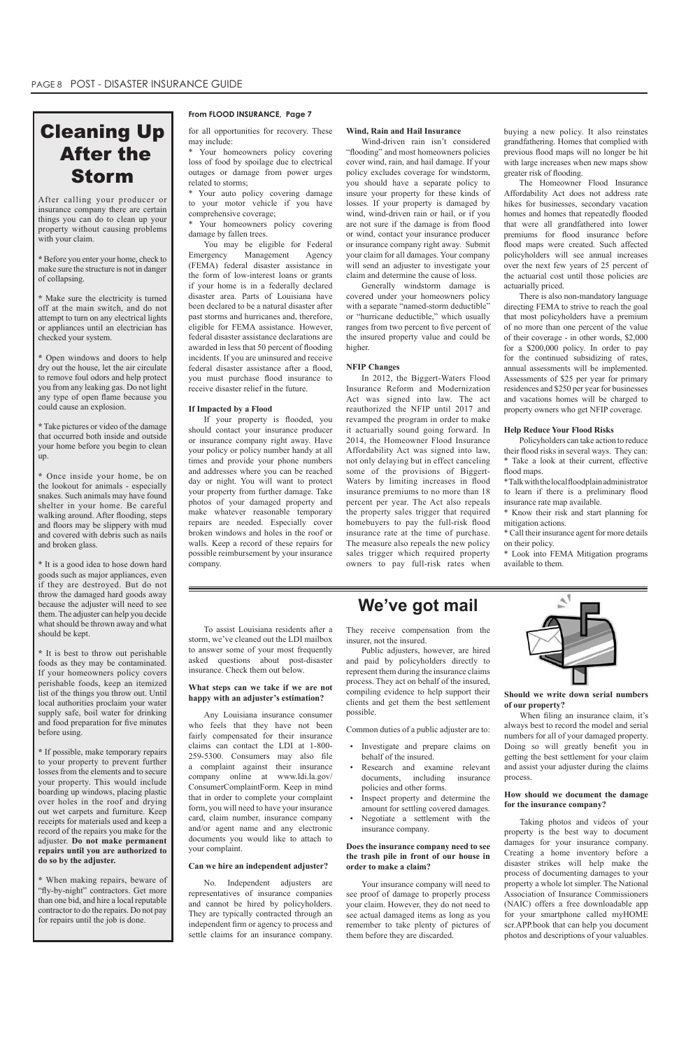## Cleaning Up After the Storm

After calling your producer or insurance company there are certain things you can do to clean up your property without causing problems with your claim.

**\*** Before you enter your home, check to make sure the structure is not in danger of collapsing.

**\*** Make sure the electricity is turned off at the main switch, and do not attempt to turn on any electrical lights or appliances until an electrician has checked your system.

**\*** Open windows and doors to help dry out the house, let the air circulate to remove foul odors and help protect you from any leaking gas. Do not light any type of open flame because you could cause an explosion.

**\*** Take pictures or video of the damage that occurred both inside and outside your home before you begin to clean up.

**\*** Once inside your home, be on the lookout for animals - especially snakes. Such animals may have found shelter in your home. Be careful walking around. After flooding, steps and floors may be slippery with mud and covered with debris such as nails and broken glass.

\* It is a good idea to hose down hard goods such as major appliances, even if they are destroyed. But do not throw the damaged hard goods away because the adjuster will need to see them. The adjuster can help you decide what should be thrown away and what should be kept.

**\*** It is best to throw out perishable foods as they may be contaminated. If your homeowners policy covers perishable foods, keep an itemized list of the things you throw out. Until local authorities proclaim your water supply safe, boil water for drinking and food preparation for five minutes before using.

- • Investigate and prepare claims on behalf of the insured.
- Research and examine relevant

**\*** If possible, make temporary repairs to your property to prevent further losses from the elements and to secure your property. This would include boarding up windows, placing plastic over holes in the roof and drying out wet carpets and furniture. Keep receipts for materials used and keep a record of the repairs you make for the adjuster. **Do not make permanent repairs until you are authorized to do so by the adjuster.**

- Inspect property and determine the amount for settling covered damages.
- Negotiate a settlement with the insurance company.

**\*** When making repairs, beware of "fly-by-night" contractors. Get more than one bid, and hire a local reputable contractor to do the repairs. Do not pay for repairs until the job is done.

#### **From FLOOD INSURANCE, Page 7**

#### To assist Louisiana residents after a storm, we've cleaned out the LDI mailbox to answer some of your most frequently asked questions about post-disaster insurance. Check them out below.

#### **What steps can we take if we are not happy with an adjuster's estimation?**

Any Louisiana insurance consumer who feels that they have not been fairly compensated for their insurance claims can contact the LDI at 1-800- 259-5300. Consumers may also file a complaint against their insurance company online at www.ldi.la.gov/ ConsumerComplaintForm. Keep in mind that in order to complete your complaint form, you will need to have your insurance card, claim number, insurance company and/or agent name and any electronic documents you would like to attach to your complaint.

#### **Can we hire an independent adjuster?**

No. Independent adjusters are representatives of insurance companies and cannot be hired by policyholders. They are typically contracted through an independent firm or agency to process and settle claims for an insurance company.

## **We've got mail**

They receive compensation from the insurer, not the insured.

Public adjusters, however, are hired and paid by policyholders directly to represent them during the insurance claims process. They act on behalf of the insured, compiling evidence to help support their clients and get them the best settlement possible.

Common duties of a public adjuster are to:

documents, including insurance policies and other forms.

**Does the insurance company need to see the trash pile in front of our house in order to make a claim?**

Your insurance company will need to see proof of damage to properly process your claim. However, they do not need to see actual damaged items as long as you remember to take plenty of pictures of them before they are discarded.



**Should we write down serial numbers of our property?**

 When filing an insurance claim, it's always best to record the model and serial numbers for all of your damaged property. Doing so will greatly benefit you in getting the best settlement for your claim and assist your adjuster during the claims

process.

**How should we document the damage for the insurance company?**

Taking photos and videos of your property is the best way to document damages for your insurance company. Creating a home inventory before a disaster strikes will help make the process of documenting damages to your property a whole lot simpler. The National Association of Insurance Commissioners (NAIC) offers a free downloadable app for your smartphone called myHOME scr.APP.book that can help you document photos and descriptions of your valuables.

for all opportunities for recovery. These may include:

\* Your homeowners policy covering loss of food by spoilage due to electrical outages or damage from power urges related to storms;

\* Your auto policy covering damage to your motor vehicle if you have comprehensive coverage;

\* Your homeowners policy covering damage by fallen trees.

You may be eligible for Federal Emergency Management Agency (FEMA) federal disaster assistance in the form of low-interest loans or grants if your home is in a federally declared disaster area. Parts of Louisiana have been declared to be a natural disaster after past storms and hurricanes and, therefore, eligible for FEMA assistance. However, federal disaster assistance declarations are awarded in less that 50 percent of flooding incidents. If you are uninsured and receive federal disaster assistance after a flood, you must purchase flood insurance to receive disaster relief in the future.

#### **If Impacted by a Flood**

If your property is flooded, you should contact your insurance producer or insurance company right away. Have your policy or policy number handy at all times and provide your phone numbers and addresses where you can be reached day or night. You will want to protect your property from further damage. Take photos of your damaged property and make whatever reasonable temporary repairs are needed. Especially cover broken windows and holes in the roof or walls. Keep a record of these repairs for possible reimbursement by your insurance company.

#### **Wind, Rain and Hail Insurance**

Wind-driven rain isn't considered "flooding" and most homeowners policies cover wind, rain, and hail damage. If your policy excludes coverage for windstorm, you should have a separate policy to insure your property for these kinds of losses. If your property is damaged by wind, wind-driven rain or hail, or if you are not sure if the damage is from flood or wind, contact your insurance producer or insurance company right away. Submit your claim for all damages. Your company will send an adjuster to investigate your claim and determine the cause of loss.

Generally windstorm damage is covered under your homeowners policy with a separate "named-storm deductible" or "hurricane deductible," which usually ranges from two percent to five percent of the insured property value and could be higher.

#### **NFIP Changes**

In 2012, the Biggert-Waters Flood Insurance Reform and Modernization Act was signed into law. The act reauthorized the NFIP until 2017 and revamped the program in order to make it actuarially sound going forward. In 2014, the Homeowner Flood Insurance Affordability Act was signed into law, not only delaying but in effect canceling some of the provisions of Biggert-Waters by limiting increases in flood insurance premiums to no more than 18 percent per year. The Act also repeals the property sales trigger that required homebuyers to pay the full-risk flood insurance rate at the time of purchase. The measure also repeals the new policy sales trigger which required property owners to pay full-risk rates when

buying a new policy. It also reinstates grandfathering. Homes that complied with previous flood maps will no longer be hit with large increases when new maps show greater risk of flooding.

The Homeowner Flood Insurance Affordability Act does not address rate hikes for businesses, secondary vacation homes and homes that repeatedly flooded that were all grandfathered into lower premiums for flood insurance before flood maps were created. Such affected policyholders will see annual increases over the next few years of 25 percent of the actuarial cost until those policies are actuarially priced.

There is also non-mandatory language directing FEMA to strive to reach the goal that most policyholders have a premium of no more than one percent of the value of their coverage - in other words, \$2,000 for a \$200,000 policy. In order to pay for the continued subsidizing of rates, annual assessments will be implemented. Assessments of \$25 per year for primary residences and \$250 per year for businesses and vacations homes will be charged to property owners who get NFIP coverage.

#### **Help Reduce Your Flood Risks**

Policyholders can take action to reduce their flood risks in several ways. They can: \* Take a look at their current, effective flood maps.

\*Talkwiththelocalfloodplainadministrator to learn if there is a preliminary flood insurance rate map available.

\* Know their risk and start planning for mitigation actions.

\* Call their insurance agent for more details on their policy.

\* Look into FEMA Mitigation programs available to them.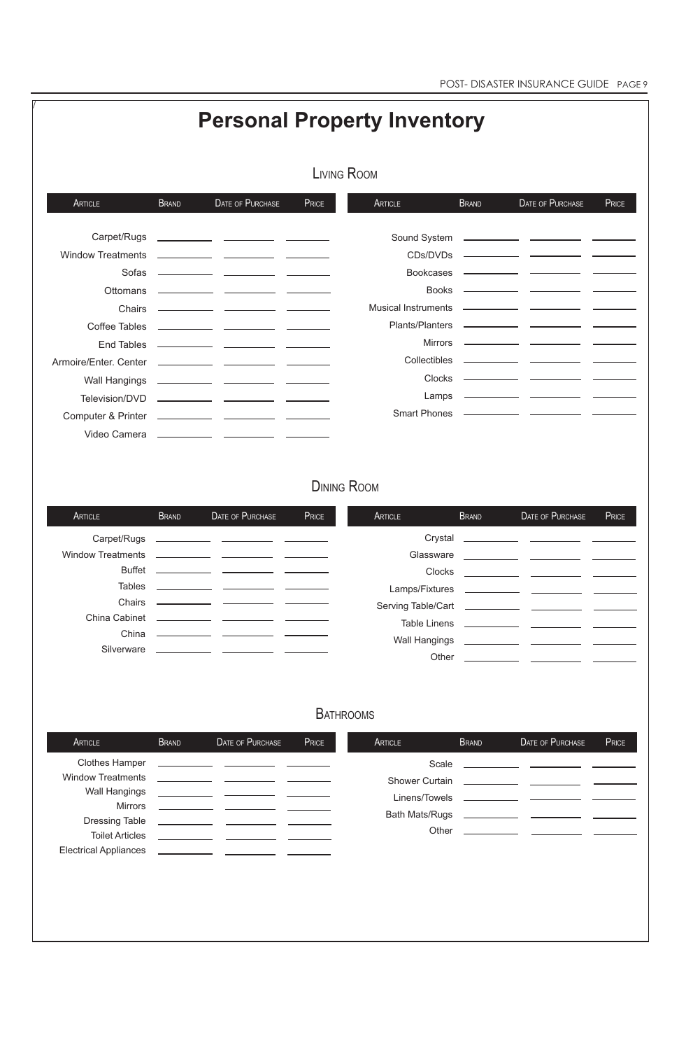|                          |              |                                                                                                                                                                                                                                      |                    | <b>Personal Property Inventory</b> |              |                                                                                                                      |              |
|--------------------------|--------------|--------------------------------------------------------------------------------------------------------------------------------------------------------------------------------------------------------------------------------------|--------------------|------------------------------------|--------------|----------------------------------------------------------------------------------------------------------------------|--------------|
|                          |              |                                                                                                                                                                                                                                      | <b>LIVING ROOM</b> |                                    |              |                                                                                                                      |              |
| ARTICLE                  | <b>BRAND</b> | <b>DATE OF PURCHASE</b>                                                                                                                                                                                                              | PRICE              | <b>ARTICLE</b>                     | <b>BRAND</b> | <b>DATE OF PURCHASE</b>                                                                                              | <b>PRICE</b> |
| Carpet/Rugs              |              |                                                                                                                                                                                                                                      |                    |                                    |              |                                                                                                                      |              |
| <b>Window Treatments</b> |              |                                                                                                                                                                                                                                      |                    | CDs/DVDs                           |              |                                                                                                                      |              |
| Sofas                    |              | <u> 1980 - Jan James James, politik eta politik eta politik eta politik eta politik eta politik eta politik eta</u>                                                                                                                  |                    | <b>Bookcases</b>                   |              |                                                                                                                      |              |
| <b>Ottomans</b>          |              | <u> 1989 - John Harry Barn, mars and de la partie de la partie de la partie de la partie de la partie de la partie</u>                                                                                                               |                    | <b>Books</b>                       |              |                                                                                                                      |              |
| Chairs                   |              |                                                                                                                                                                                                                                      |                    | <b>Musical Instruments</b>         |              | <u> 1989 - Johann John Stone, mars et al. (1989)</u>                                                                 |              |
| Coffee Tables            |              |                                                                                                                                                                                                                                      |                    | Plants/Planters                    |              |                                                                                                                      |              |
|                          |              |                                                                                                                                                                                                                                      |                    | <b>Mirrors</b>                     |              |                                                                                                                      |              |
|                          |              |                                                                                                                                                                                                                                      |                    | <b>Collectibles</b>                |              |                                                                                                                      |              |
| <b>Wall Hangings</b>     |              |                                                                                                                                                                                                                                      |                    | <b>Clocks</b>                      |              |                                                                                                                      |              |
|                          |              |                                                                                                                                                                                                                                      |                    | Lamps                              |              |                                                                                                                      |              |
|                          |              |                                                                                                                                                                                                                                      |                    | <b>Smart Phones</b>                |              |                                                                                                                      |              |
|                          |              |                                                                                                                                                                                                                                      |                    |                                    |              |                                                                                                                      |              |
|                          |              |                                                                                                                                                                                                                                      | <b>DINING ROOM</b> |                                    |              |                                                                                                                      |              |
| ARTICLE                  | <b>BRAND</b> | DATE OF PURCHASE                                                                                                                                                                                                                     | PRICE              | <b>ARTICLE</b>                     | <b>BRAND</b> | DATE OF PURCHASE                                                                                                     | PRICE        |
| Carpet/Rugs              |              |                                                                                                                                                                                                                                      |                    | Crystal                            |              |                                                                                                                      |              |
| <b>Window Treatments</b> |              |                                                                                                                                                                                                                                      |                    | Glassware                          |              | <u> 1989 - Albert Albert III, primeira a postal de la provincia de la primeira de la provincia de la primeira de</u> |              |
| <b>Buffet</b>            |              | <u> 1999 - Johann John Stone, mars et al. 1999 - John Stone, mars et al. 1999 - John Stone, mars et al. 1999 - John Stone</u>                                                                                                        |                    | Clocks                             |              |                                                                                                                      |              |
| <b>Tables</b>            |              | <u> 1989 - John Harry Harrison, mars et al. 1989 - John Harry Harry Harry Harry Harry Harry Harry Harry Harry Harry Harry Harry Harry Harry Harry Harry Harry Harry Harry Harry Harry Harry Harry Harry Harry Harry Harry Harry </u> |                    | Lamps/Fixtures                     |              |                                                                                                                      |              |
| Chairs                   |              | <u> Alexandria de la contextual de la contextual de la contextual de la contextual de la contextual de la contextual de la contextual de la contextual de la contextual de la contextual de la contextual de la contextual de la</u> |                    |                                    |              |                                                                                                                      |              |
|                          |              |                                                                                                                                                                                                                                      |                    | Toble Linone                       |              |                                                                                                                      |              |

## **BATHROOMS**

Table Linens

Wall Hangings

Other

China

<u> a serie de la p</u>

Silverware \_\_\_\_\_\_\_\_\_\_\_\_\_ \_\_

| ARTICLE                                                                                                                                                                        | <b>BRAND</b>                | DATE OF PURCHASE                                                                                                                                                                                                                                                                                                                                                                                                                                                      | PRICE | ARTICLE                                                                           | <b>BRAND</b> | <b>DATE OF PURCHASE</b>                                                                                                                                                                                                  | PRICE |
|--------------------------------------------------------------------------------------------------------------------------------------------------------------------------------|-----------------------------|-----------------------------------------------------------------------------------------------------------------------------------------------------------------------------------------------------------------------------------------------------------------------------------------------------------------------------------------------------------------------------------------------------------------------------------------------------------------------|-------|-----------------------------------------------------------------------------------|--------------|--------------------------------------------------------------------------------------------------------------------------------------------------------------------------------------------------------------------------|-------|
| <b>Clothes Hamper</b><br><b>Window Treatments</b><br><b>Wall Hangings</b><br><b>Mirrors</b><br><b>Dressing Table</b><br><b>Toilet Articles</b><br><b>Electrical Appliances</b> | <u> 1999 - Alban III, p</u> | the control of the control of the control of the control of the control of the control of the control of the control of the control of the control of the control of the control of the control of the control of the control<br><u>and the contract of the contract of the contract of the contract of the contract of the contract of the contract of the contract of the contract of the contract of the contract of the contract of the contract of the contr</u> |       | Scale<br><b>Shower Curtain</b><br>Linens/Towels<br><b>Bath Mats/Rugs</b><br>Other |              | <u> 1980 - Jan James James Barbara, politik a politik (</u><br>the control of the control of the<br><u> 1990 - John Harry Barn, mars and de la partie de la partie de la partie de la partie de la partie de la part</u> |       |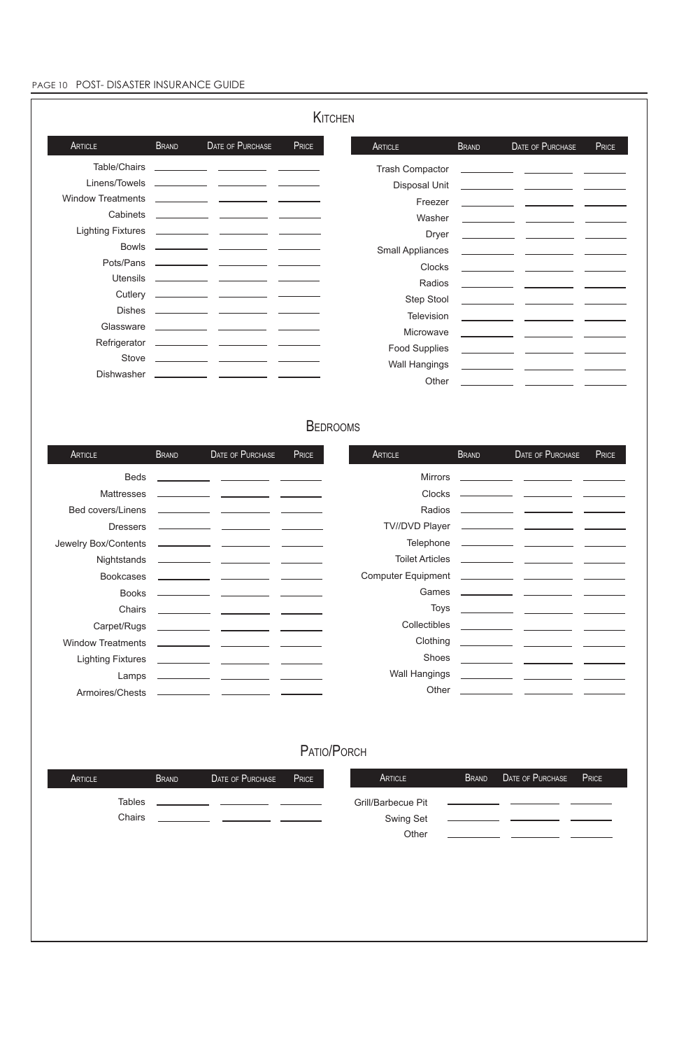## PAGE 10 POST- DISASTER INSURANCE GUIDE

| ARTICLE | <b>BRAND</b>  | DATE OF PURCHASE | <b>PRICE</b> | ARTICLE            | BRAND | DATE OF PURCHASE                                      | PRICE |
|---------|---------------|------------------|--------------|--------------------|-------|-------------------------------------------------------|-------|
|         | <b>Tables</b> |                  |              | Grill/Barbecue Pit |       |                                                       |       |
|         | Chairs        |                  |              | <b>Swing Set</b>   |       |                                                       |       |
|         |               |                  |              | Other              |       | <u> 1999 - Jan Barbara Barbara, política española</u> |       |
|         |               |                  |              |                    |       |                                                       |       |
|         |               |                  |              |                    |       |                                                       |       |
|         |               |                  |              |                    |       |                                                       |       |
|         |               |                  |              |                    |       |                                                       |       |
|         |               |                  |              |                    |       |                                                       |       |
|         |               |                  |              |                    |       |                                                       |       |
|         |               |                  |              |                    |       |                                                       |       |

|                          |              |                                                                                                                        |       | KITCHEN |                         |                                                                                                                                                                                                                                      |                                                                                                                                                                                                                                      |       |
|--------------------------|--------------|------------------------------------------------------------------------------------------------------------------------|-------|---------|-------------------------|--------------------------------------------------------------------------------------------------------------------------------------------------------------------------------------------------------------------------------------|--------------------------------------------------------------------------------------------------------------------------------------------------------------------------------------------------------------------------------------|-------|
| <b>ARTICLE</b>           | <b>BRAND</b> | DATE OF PURCHASE                                                                                                       | PRICE |         | <b>ARTICLE</b>          | <b>BRAND</b>                                                                                                                                                                                                                         | DATE OF PURCHASE                                                                                                                                                                                                                     | PRICE |
| Table/Chairs             |              |                                                                                                                        |       |         | <b>Trash Compactor</b>  |                                                                                                                                                                                                                                      |                                                                                                                                                                                                                                      |       |
| Linens/Towels            |              | <u> 1989 - John Harry Barn, mars and de Branch and de Branch and de Branch and de Branch and de Branch and de Br</u>   |       |         | <b>Disposal Unit</b>    |                                                                                                                                                                                                                                      |                                                                                                                                                                                                                                      |       |
| <b>Window Treatments</b> |              | <u> 1989 - Johann John Stone, mars et al. 1989 - John Stone, mars et al. 1989 - John Stone, mars et al. 1989 - Joh</u> |       |         | Freezer                 |                                                                                                                                                                                                                                      |                                                                                                                                                                                                                                      |       |
| Cabinets                 |              |                                                                                                                        |       |         | Washer                  |                                                                                                                                                                                                                                      |                                                                                                                                                                                                                                      |       |
| <b>Lighting Fixtures</b> |              |                                                                                                                        |       |         | <b>Dryer</b>            |                                                                                                                                                                                                                                      | <u> 1989 - John Stone, mars et al. (b. 1989)</u>                                                                                                                                                                                     |       |
| <b>Bowls</b>             |              |                                                                                                                        |       |         | <b>Small Appliances</b> |                                                                                                                                                                                                                                      |                                                                                                                                                                                                                                      |       |
| Pots/Pans                |              |                                                                                                                        |       |         | Clocks                  |                                                                                                                                                                                                                                      |                                                                                                                                                                                                                                      |       |
| <b>Utensils</b>          |              |                                                                                                                        |       |         | Radios                  |                                                                                                                                                                                                                                      |                                                                                                                                                                                                                                      |       |
| Cutlery                  |              |                                                                                                                        |       |         | Step Stool              |                                                                                                                                                                                                                                      |                                                                                                                                                                                                                                      |       |
| <b>Dishes</b>            |              |                                                                                                                        |       |         | Television              |                                                                                                                                                                                                                                      | <u> The Common State Common State Common State Common State Common State Common State Common State Common State Common State Common State Common State Common State Common State Common State Common State Common State Common S</u> |       |
| Glassware                |              |                                                                                                                        |       |         | Microwave               | <u>and the state of the state of the state of the state of the state of the state of the state of the state of the state of the state of the state of the state of the state of the state of the state of the state of the state</u> |                                                                                                                                                                                                                                      |       |
| Refrigerator             |              |                                                                                                                        |       |         | <b>Food Supplies</b>    |                                                                                                                                                                                                                                      |                                                                                                                                                                                                                                      |       |
| Stove                    |              |                                                                                                                        |       |         | <b>Wall Hangings</b>    |                                                                                                                                                                                                                                      |                                                                                                                                                                                                                                      |       |
| <b>Dishwasher</b>        |              |                                                                                                                        |       |         | Other                   |                                                                                                                                                                                                                                      |                                                                                                                                                                                                                                      |       |

## **BEDROOMS**

| ARTICLE                  | <b>BRAND</b> | DATE OF PURCHASE                                                                                                       | PRICE | <b>ARTICLE</b>         | <b>BRAND</b> | DATE OF PURCHASE                                                               | PRICE |
|--------------------------|--------------|------------------------------------------------------------------------------------------------------------------------|-------|------------------------|--------------|--------------------------------------------------------------------------------|-------|
| <b>Beds</b>              |              | <u> 1980 - John Harry Harrison, mars and the second second second second second second second second second second</u> |       | <b>Mirrors</b>         |              | <u> 1989 - Andrea Stein, Amerikaansk politiker († 1908)</u>                    |       |
| <b>Mattresses</b>        |              | <u> 1989 - Jan Sarah Barat, masjid a</u>                                                                               |       | Clocks                 |              |                                                                                |       |
| <b>Bed covers/Linens</b> |              |                                                                                                                        |       | Radios                 |              |                                                                                |       |
| <b>Dressers</b>          |              |                                                                                                                        |       | <b>TV//DVD Player</b>  |              | <u> 1980 - Jan James James, politik eta politik eta politikaria (h. 1908).</u> |       |
| Jewelry Box/Contents     |              |                                                                                                                        |       | Telephone              |              |                                                                                |       |
| Nightstands              |              |                                                                                                                        |       | <b>Toilet Articles</b> |              |                                                                                |       |
| <b>Bookcases</b>         |              |                                                                                                                        |       |                        |              |                                                                                |       |
| <b>Books</b>             |              |                                                                                                                        |       | Games                  |              |                                                                                |       |
| <b>Chairs</b>            |              |                                                                                                                        |       | <b>Toys</b>            |              |                                                                                |       |
| Carpet/Rugs              |              |                                                                                                                        |       | <b>Collectibles</b>    |              |                                                                                |       |
| <b>Window Treatments</b> |              |                                                                                                                        |       | Clothing               |              |                                                                                |       |
| <b>Lighting Fixtures</b> |              |                                                                                                                        |       | <b>Shoes</b>           |              |                                                                                |       |
| Lamps                    |              |                                                                                                                        |       | <b>Wall Hangings</b>   |              |                                                                                |       |
| Armoires/Chests          |              |                                                                                                                        |       | Other                  |              |                                                                                |       |

## PATIO/PORCH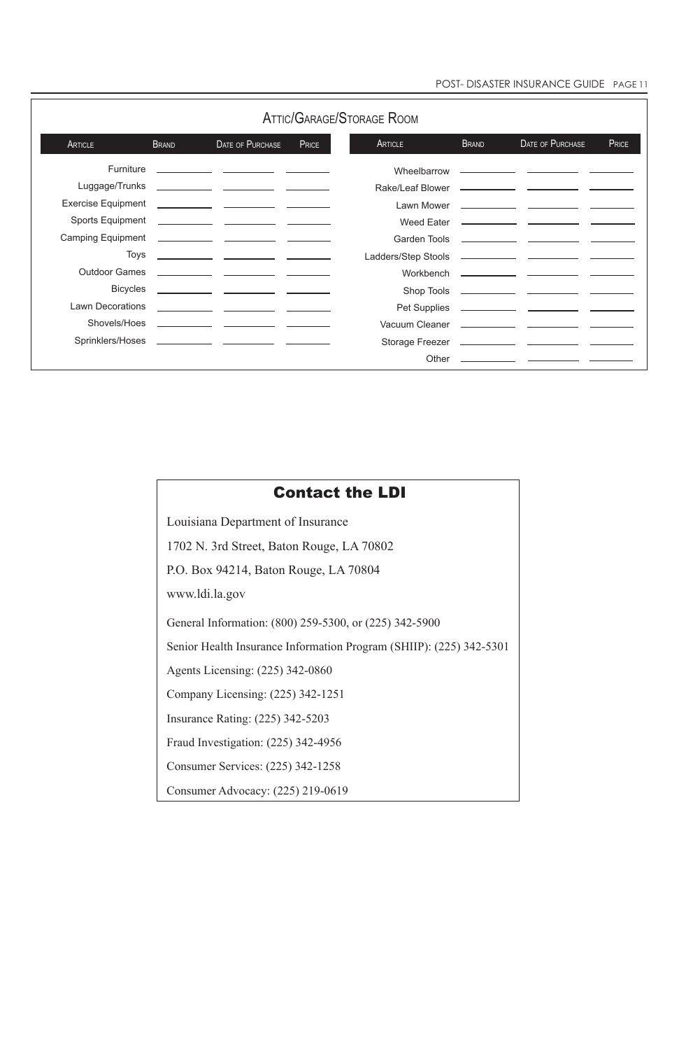|                           |              |                                                              |              | <b>ATTIC/GARAGE/STORAGE ROOM</b> |              |                                                                            |       |
|---------------------------|--------------|--------------------------------------------------------------|--------------|----------------------------------|--------------|----------------------------------------------------------------------------|-------|
| ARTICLE                   | <b>BRAND</b> | <b>DATE OF PURCHASE</b>                                      | <b>PRICE</b> | ARTICLE                          | <b>BRAND</b> | DATE OF PURCHASE                                                           | PRICE |
| Furniture                 |              |                                                              |              | Wheelbarrow                      |              | <u> 1980 - John Stone, mars et al. (1980), provincial est anno 1980.</u>   |       |
| Luggage/Trunks            |              |                                                              |              | Rake/Leaf Blower                 |              | <u> 1989 - John Stone, mars et al. (1989), provincial est anno 1989.</u>   |       |
| <b>Exercise Equipment</b> |              |                                                              |              | Lawn Mower                       |              |                                                                            |       |
| <b>Sports Equipment</b>   |              |                                                              |              | Weed Eater                       |              |                                                                            |       |
| <b>Camping Equipment</b>  |              |                                                              |              | Garden Tools                     |              |                                                                            |       |
|                           | <b>Toys</b>  | <u> 1989 - Johann John Stone, francuski politik († 1908)</u> |              | Ladders/Step Stools              |              |                                                                            |       |
| <b>Outdoor Games</b>      |              |                                                              |              | Workbench                        |              | <u> 1989 - Johann John Stone, mars et al. (</u>                            |       |
| <b>Bicycles</b>           |              |                                                              |              | Shop Tools                       |              |                                                                            |       |
| <b>Lawn Decorations</b>   |              |                                                              |              |                                  |              |                                                                            |       |
| Shovels/Hoes              |              |                                                              |              |                                  |              |                                                                            |       |
| Sprinklers/Hoses          |              |                                                              |              | Storage Freezer                  |              |                                                                            |       |
|                           |              |                                                              |              | Other                            |              | <u> 1980 - Jan James James Barbara, politik eta politikaria (h. 1905).</u> |       |

| <b>Contact the LDI</b>                                              |
|---------------------------------------------------------------------|
| Louisiana Department of Insurance                                   |
| 1702 N. 3rd Street, Baton Rouge, LA 70802                           |
| P.O. Box 94214, Baton Rouge, LA 70804                               |
| www.ldi.la.gov                                                      |
| General Information: (800) 259-5300, or (225) 342-5900              |
| Senior Health Insurance Information Program (SHIIP): (225) 342-5301 |
| Agents Licensing: (225) 342-0860                                    |
| Company Licensing: (225) 342-1251                                   |
| <b>Insurance Rating: (225) 342-5203</b>                             |
| Fraud Investigation: (225) 342-4956                                 |
| Consumer Services: (225) 342-1258                                   |

Consumer Advocacy: (225) 219-0619